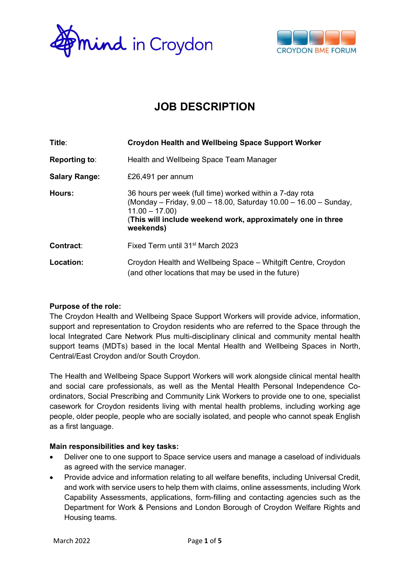



# JOB DESCRIPTION

| Title:               | <b>Croydon Health and Wellbeing Space Support Worker</b>                                                                                                                                                                    |  |
|----------------------|-----------------------------------------------------------------------------------------------------------------------------------------------------------------------------------------------------------------------------|--|
| <b>Reporting to:</b> | Health and Wellbeing Space Team Manager                                                                                                                                                                                     |  |
| <b>Salary Range:</b> | £26,491 per annum                                                                                                                                                                                                           |  |
| Hours:               | 36 hours per week (full time) worked within a 7-day rota<br>(Monday – Friday, 9.00 – 18.00, Saturday 10.00 – 16.00 – Sunday,<br>$11.00 - 17.00$<br>(This will include weekend work, approximately one in three<br>weekends) |  |
| Contract:            | Fixed Term until 31 <sup>st</sup> March 2023                                                                                                                                                                                |  |
| Location:            | Croydon Health and Wellbeing Space - Whitgift Centre, Croydon<br>(and other locations that may be used in the future)                                                                                                       |  |

### Purpose of the role:

The Croydon Health and Wellbeing Space Support Workers will provide advice, information, support and representation to Croydon residents who are referred to the Space through the local Integrated Care Network Plus multi-disciplinary clinical and community mental health support teams (MDTs) based in the local Mental Health and Wellbeing Spaces in North, Central/East Croydon and/or South Croydon.

The Health and Wellbeing Space Support Workers will work alongside clinical mental health and social care professionals, as well as the Mental Health Personal Independence Coordinators, Social Prescribing and Community Link Workers to provide one to one, specialist casework for Croydon residents living with mental health problems, including working age people, older people, people who are socially isolated, and people who cannot speak English as a first language.

### Main responsibilities and key tasks:

- Deliver one to one support to Space service users and manage a caseload of individuals as agreed with the service manager.
- Provide advice and information relating to all welfare benefits, including Universal Credit, and work with service users to help them with claims, online assessments, including Work Capability Assessments, applications, form-filling and contacting agencies such as the Department for Work & Pensions and London Borough of Croydon Welfare Rights and Housing teams.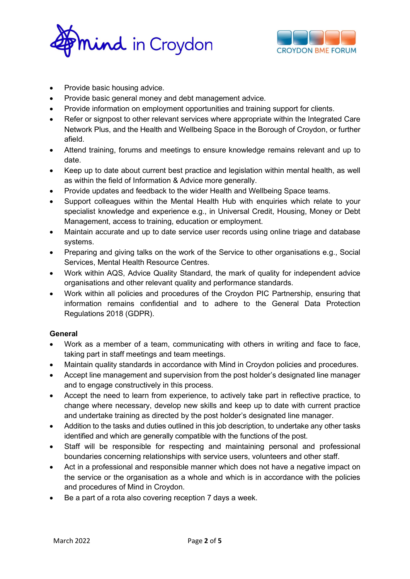



- Provide basic housing advice.
- Provide basic general money and debt management advice.
- Provide information on employment opportunities and training support for clients.
- Refer or signpost to other relevant services where appropriate within the Integrated Care Network Plus, and the Health and Wellbeing Space in the Borough of Croydon, or further afield.
- Attend training, forums and meetings to ensure knowledge remains relevant and up to date.
- Keep up to date about current best practice and legislation within mental health, as well as within the field of Information & Advice more generally.
- Provide updates and feedback to the wider Health and Wellbeing Space teams.
- Support colleagues within the Mental Health Hub with enquiries which relate to your specialist knowledge and experience e.g., in Universal Credit, Housing, Money or Debt Management, access to training, education or employment.
- Maintain accurate and up to date service user records using online triage and database systems.
- Preparing and giving talks on the work of the Service to other organisations e.g., Social Services, Mental Health Resource Centres.
- Work within AQS, Advice Quality Standard, the mark of quality for independent advice organisations and other relevant quality and performance standards.
- Work within all policies and procedures of the Croydon PIC Partnership, ensuring that information remains confidential and to adhere to the General Data Protection Regulations 2018 (GDPR).

### General

- Work as a member of a team, communicating with others in writing and face to face, taking part in staff meetings and team meetings.
- Maintain quality standards in accordance with Mind in Croydon policies and procedures.
- Accept line management and supervision from the post holder's designated line manager and to engage constructively in this process.
- Accept the need to learn from experience, to actively take part in reflective practice, to change where necessary, develop new skills and keep up to date with current practice and undertake training as directed by the post holder's designated line manager.
- Addition to the tasks and duties outlined in this job description, to undertake any other tasks identified and which are generally compatible with the functions of the post.
- Staff will be responsible for respecting and maintaining personal and professional boundaries concerning relationships with service users, volunteers and other staff.
- Act in a professional and responsible manner which does not have a negative impact on the service or the organisation as a whole and which is in accordance with the policies and procedures of Mind in Croydon.
- Be a part of a rota also covering reception 7 days a week.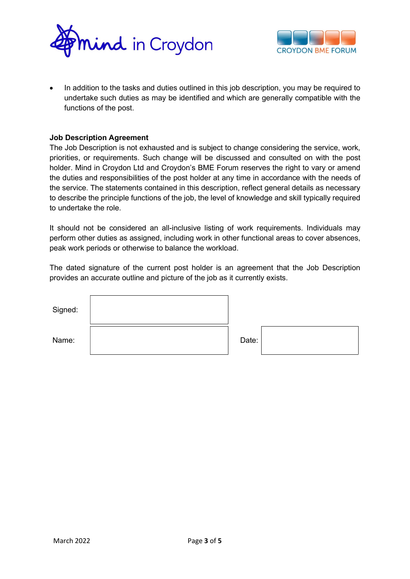



 In addition to the tasks and duties outlined in this job description, you may be required to undertake such duties as may be identified and which are generally compatible with the functions of the post.

#### Job Description Agreement

The Job Description is not exhausted and is subject to change considering the service, work, priorities, or requirements. Such change will be discussed and consulted on with the post holder. Mind in Croydon Ltd and Croydon's BME Forum reserves the right to vary or amend the duties and responsibilities of the post holder at any time in accordance with the needs of the service. The statements contained in this description, reflect general details as necessary to describe the principle functions of the job, the level of knowledge and skill typically required to undertake the role.

It should not be considered an all-inclusive listing of work requirements. Individuals may perform other duties as assigned, including work in other functional areas to cover absences, peak work periods or otherwise to balance the workload.

The dated signature of the current post holder is an agreement that the Job Description provides an accurate outline and picture of the job as it currently exists.

| Signed: |       |  |
|---------|-------|--|
| Name:   | Date: |  |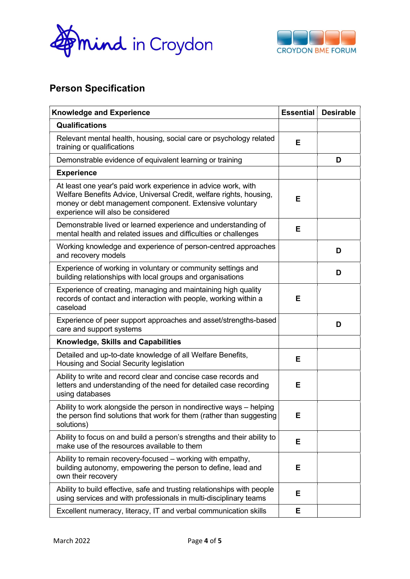



## Person Specification

| <b>Knowledge and Experience</b>                                                                                                                                                                                                       |    | <b>Desirable</b> |
|---------------------------------------------------------------------------------------------------------------------------------------------------------------------------------------------------------------------------------------|----|------------------|
| <b>Qualifications</b>                                                                                                                                                                                                                 |    |                  |
| Relevant mental health, housing, social care or psychology related<br>training or qualifications                                                                                                                                      | E  |                  |
| Demonstrable evidence of equivalent learning or training                                                                                                                                                                              |    | D                |
| <b>Experience</b>                                                                                                                                                                                                                     |    |                  |
| At least one year's paid work experience in advice work, with<br>Welfare Benefits Advice, Universal Credit, welfare rights, housing,<br>money or debt management component. Extensive voluntary<br>experience will also be considered |    |                  |
| Demonstrable lived or learned experience and understanding of<br>mental health and related issues and difficulties or challenges                                                                                                      | E  |                  |
| Working knowledge and experience of person-centred approaches<br>and recovery models                                                                                                                                                  |    | D                |
| Experience of working in voluntary or community settings and<br>building relationships with local groups and organisations                                                                                                            |    | D                |
| Experience of creating, managing and maintaining high quality<br>records of contact and interaction with people, working within a<br>caseload                                                                                         | E  |                  |
| Experience of peer support approaches and asset/strengths-based<br>care and support systems                                                                                                                                           |    | D                |
| <b>Knowledge, Skills and Capabilities</b>                                                                                                                                                                                             |    |                  |
| Detailed and up-to-date knowledge of all Welfare Benefits,<br>Housing and Social Security legislation                                                                                                                                 |    |                  |
| Ability to write and record clear and concise case records and<br>letters and understanding of the need for detailed case recording<br>using databases                                                                                | E  |                  |
| Ability to work alongside the person in nondirective ways - helping<br>the person find solutions that work for them (rather than suggesting<br>solutions)                                                                             | E. |                  |
| Ability to focus on and build a person's strengths and their ability to<br>make use of the resources available to them                                                                                                                | Е  |                  |
| Ability to remain recovery-focused - working with empathy,<br>building autonomy, empowering the person to define, lead and<br>own their recovery                                                                                      | E  |                  |
| Ability to build effective, safe and trusting relationships with people<br>using services and with professionals in multi-disciplinary teams                                                                                          | E  |                  |
| Excellent numeracy, literacy, IT and verbal communication skills                                                                                                                                                                      | Е  |                  |